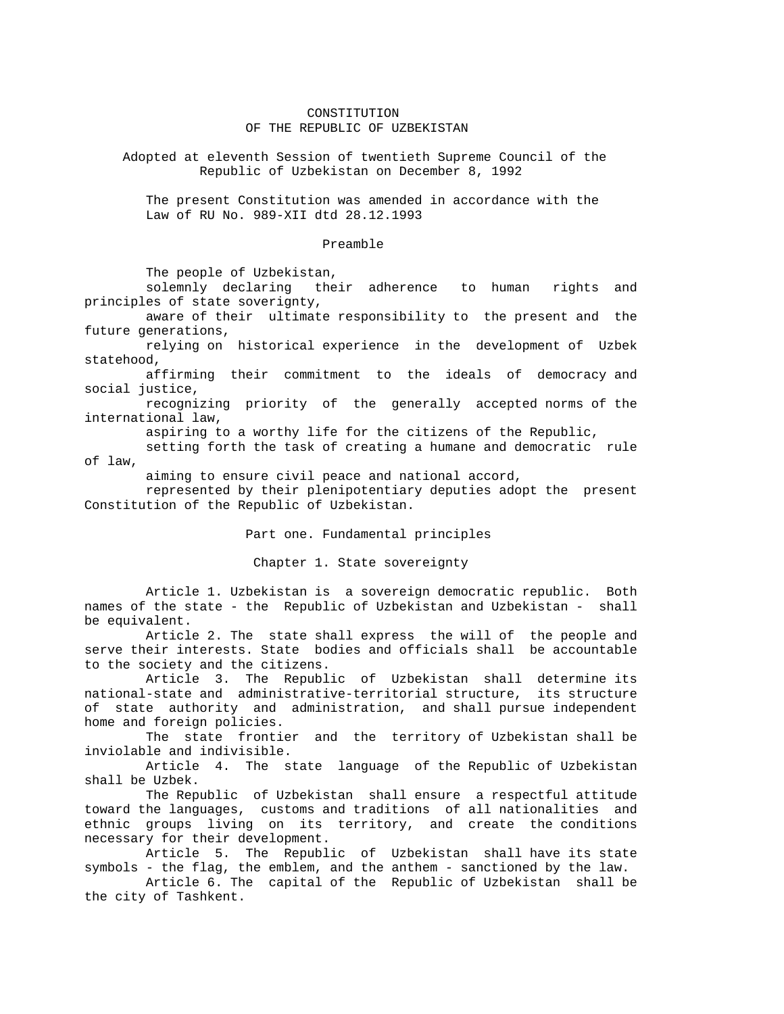## CONSTITUTION OF THE REPUBLIC OF UZBEKISTAN

 Adopted at eleventh Session of twentieth Supreme Council of the Republic of Uzbekistan on December 8, 1992

 The present Constitution was amended in accordance with the Law of RU No. 989-XII dtd 28.12.1993

#### Preamble

The people of Uzbekistan,

 solemnly declaring their adherence to human rights and principles of state soverignty,

 aware of their ultimate responsibility to the present and the future generations,

 relying on historical experience in the development of Uzbek statehood,

 affirming their commitment to the ideals of democracy and social justice,

 recognizing priority of the generally accepted norms of the international law,

aspiring to a worthy life for the citizens of the Republic,

 setting forth the task of creating a humane and democratic rule of law,

aiming to ensure civil peace and national accord,

 represented by their plenipotentiary deputies adopt the present Constitution of the Republic of Uzbekistan.

Part one. Fundamental principles

Chapter 1. State sovereignty

 Article 1. Uzbekistan is a sovereign democratic republic. Both names of the state - the Republic of Uzbekistan and Uzbekistan - shall be equivalent.

 Article 2. The state shall express the will of the people and serve their interests. State bodies and officials shall be accountable to the society and the citizens.

 Article 3. The Republic of Uzbekistan shall determine its national-state and administrative-territorial structure, its structure of state authority and administration, and shall pursue independent home and foreign policies.

 The state frontier and the territory of Uzbekistan shall be inviolable and indivisible.

 Article 4. The state language of the Republic of Uzbekistan shall be Uzbek.

 The Republic of Uzbekistan shall ensure a respectful attitude toward the languages, customs and traditions of all nationalities and ethnic groups living on its territory, and create the conditions necessary for their development.

 Article 5. The Republic of Uzbekistan shall have its state symbols - the flag, the emblem, and the anthem - sanctioned by the law.

 Article 6. The capital of the Republic of Uzbekistan shall be the city of Tashkent.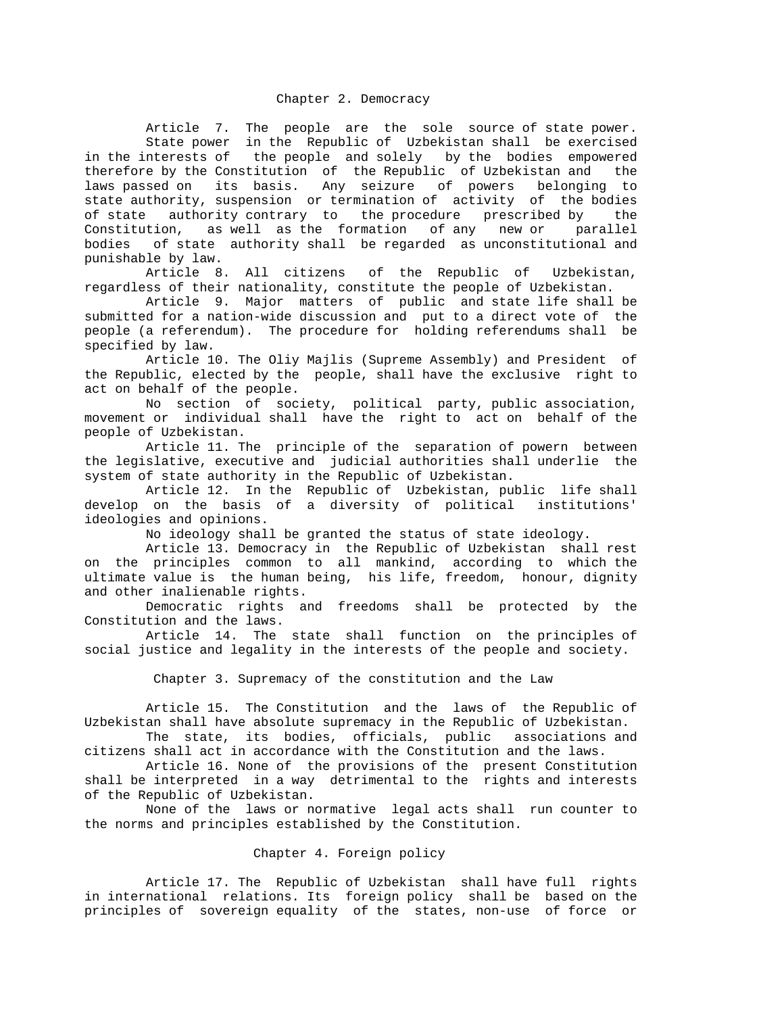Article 7. The people are the sole source of state power. State power in the Republic of Uzbekistan shall be exercised in the interests of the people and solely by the bodies empowered therefore by the Constitution of the Republic of Uzbekistan and the laws passed on its basis. Any seizure of powers belonging to state authority, suspension or termination of activity of the bodies of state authority contrary to the procedure prescribed by the Constitution, as well as the formation of any new or parallel bodies of state authority shall be regarded as unconstitutional and punishable by law.

 Article 8. All citizens of the Republic of Uzbekistan, regardless of their nationality, constitute the people of Uzbekistan.

 Article 9. Major matters of public and state life shall be submitted for a nation-wide discussion and put to a direct vote of the people (a referendum). The procedure for holding referendums shall be specified by law.

 Article 10. The Oliy Majlis (Supreme Assembly) and President of the Republic, elected by the people, shall have the exclusive right to act on behalf of the people.

 No section of society, political party, public association, movement or individual shall have the right to act on behalf of the people of Uzbekistan.

 Article 11. The principle of the separation of powern between the legislative, executive and judicial authorities shall underlie the system of state authority in the Republic of Uzbekistan.

 Article 12. In the Republic of Uzbekistan, public life shall develop on the basis of a diversity of political institutions' ideologies and opinions.

No ideology shall be granted the status of state ideology.

 Article 13. Democracy in the Republic of Uzbekistan shall rest on the principles common to all mankind, according to which the ultimate value is the human being, his life, freedom, honour, dignity and other inalienable rights.

 Democratic rights and freedoms shall be protected by the Constitution and the laws.

 Article 14. The state shall function on the principles of social justice and legality in the interests of the people and society.

Chapter 3. Supremacy of the constitution and the Law

 Article 15. The Constitution and the laws of the Republic of Uzbekistan shall have absolute supremacy in the Republic of Uzbekistan.<br>The state, its bodies, officials, public associations and

The state, its bodies, officials, public citizens shall act in accordance with the Constitution and the laws.

 Article 16. None of the provisions of the present Constitution shall be interpreted in a way detrimental to the rights and interests of the Republic of Uzbekistan.

 None of the laws or normative legal acts shall run counter to the norms and principles established by the Constitution.

#### Chapter 4. Foreign policy

 Article 17. The Republic of Uzbekistan shall have full rights in international relations. Its foreign policy shall be based on the principles of sovereign equality of the states, non-use of force or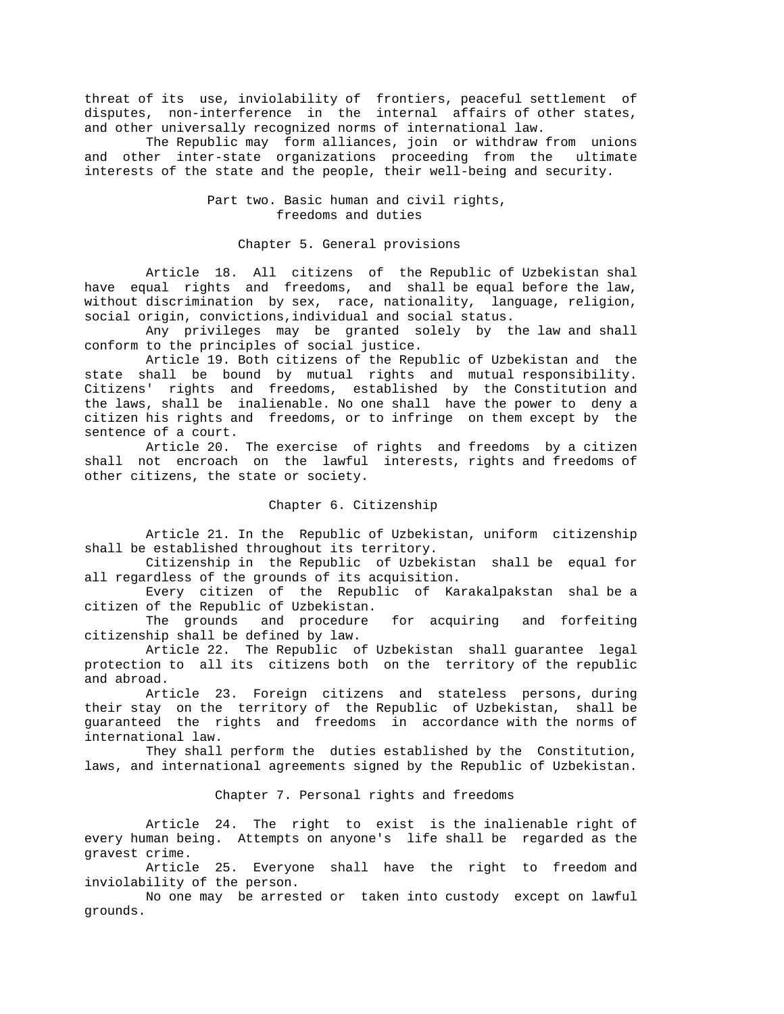threat of its use, inviolability of frontiers, peaceful settlement of disputes, non-interference in the internal affairs of other states, and other universally recognized norms of international law.

 The Republic may form alliances, join or withdraw from unions and other inter-state organizations proceeding from the ultimate interests of the state and the people, their well-being and security.

> Part two. Basic human and civil rights, freedoms and duties

Chapter 5. General provisions

 Article 18. All citizens of the Republic of Uzbekistan shal have equal rights and freedoms, and shall be equal before the law, without discrimination by sex, race, nationality, language, religion, social origin, convictions,individual and social status.

 Any privileges may be granted solely by the law and shall conform to the principles of social justice.

 Article 19. Both citizens of the Republic of Uzbekistan and the state shall be bound by mutual rights and mutual responsibility. Citizens' rights and freedoms, established by the Constitution and the laws, shall be inalienable. No one shall have the power to deny a citizen his rights and freedoms, or to infringe on them except by the sentence of a court.

 Article 20. The exercise of rights and freedoms by a citizen shall not encroach on the lawful interests, rights and freedoms of other citizens, the state or society.

#### Chapter 6. Citizenship

 Article 21. In the Republic of Uzbekistan, uniform citizenship shall be established throughout its territory.

 Citizenship in the Republic of Uzbekistan shall be equal for all regardless of the grounds of its acquisition.

 Every citizen of the Republic of Karakalpakstan shal be a citizen of the Republic of Uzbekistan.

 The grounds and procedure for acquiring and forfeiting citizenship shall be defined by law.

 Article 22. The Republic of Uzbekistan shall guarantee legal protection to all its citizens both on the territory of the republic and abroad.

 Article 23. Foreign citizens and stateless persons, during their stay on the territory of the Republic of Uzbekistan, shall be guaranteed the rights and freedoms in accordance with the norms of international law.

 They shall perform the duties established by the Constitution, laws, and international agreements signed by the Republic of Uzbekistan.

Chapter 7. Personal rights and freedoms

 Article 24. The right to exist is the inalienable right of every human being. Attempts on anyone's life shall be regarded as the gravest crime.

 Article 25. Everyone shall have the right to freedom and inviolability of the person.

 No one may be arrested or taken into custody except on lawful grounds.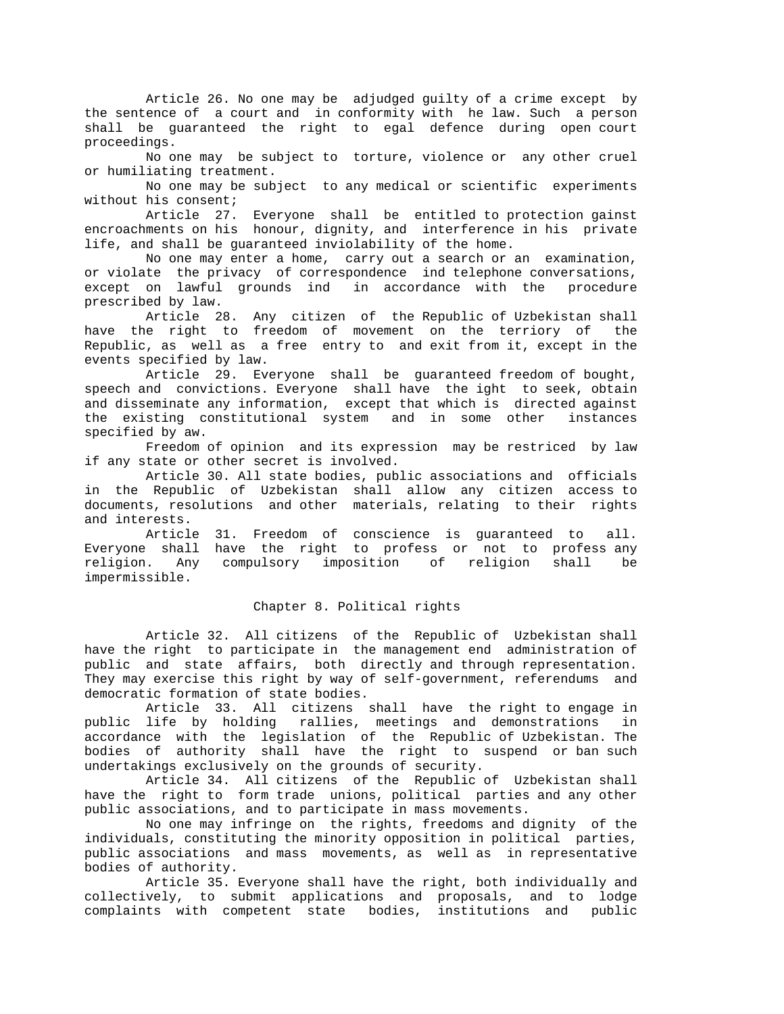Article 26. No one may be adjudged guilty of a crime except by the sentence of a court and in conformity with he law. Such a person shall be guaranteed the right to egal defence during open court proceedings.

 No one may be subject to torture, violence or any other cruel or humiliating treatment.

 No one may be subject to any medical or scientific experiments without his consent;

 Article 27. Everyone shall be entitled to protection gainst encroachments on his honour, dignity, and interference in his private life, and shall be guaranteed inviolability of the home.

 No one may enter a home, carry out a search or an examination, or violate the privacy of correspondence ind telephone conversations, except on lawful grounds ind in accordance with the procedure prescribed by law.

 Article 28. Any citizen of the Republic of Uzbekistan shall have the right to freedom of movement on the terriory of the Republic, as well as a free entry to and exit from it, except in the events specified by law.

 Article 29. Everyone shall be guaranteed freedom of bought, speech and convictions. Everyone shall have the ight to seek, obtain and disseminate any information, except that which is directed against the existing constitutional system and in some other instances specified by aw.

 Freedom of opinion and its expression may be restriced by law if any state or other secret is involved.

 Article 30. All state bodies, public associations and officials in the Republic of Uzbekistan shall allow any citizen access to documents, resolutions and other materials, relating to their rights and interests.

 Article 31. Freedom of conscience is guaranteed to all. Everyone shall have the right to profess or not to profess any religion. Any compulsory imposition of religion shall be impermissible.

# Chapter 8. Political rights

 Article 32. All citizens of the Republic of Uzbekistan shall have the right to participate in the management end administration of public and state affairs, both directly and through representation. They may exercise this right by way of self-government, referendums and democratic formation of state bodies.

 Article 33. All citizens shall have the right to engage in public life by holding rallies, meetings and demonstrations in accordance with the legislation of the Republic of Uzbekistan. The bodies of authority shall have the right to suspend or ban such undertakings exclusively on the grounds of security.

 Article 34. All citizens of the Republic of Uzbekistan shall have the right to form trade unions, political parties and any other public associations, and to participate in mass movements.

 No one may infringe on the rights, freedoms and dignity of the individuals, constituting the minority opposition in political parties, public associations and mass movements, as well as in representative bodies of authority.

 Article 35. Everyone shall have the right, both individually and collectively, to submit applications and proposals, and to lodge complaints with competent state bodies, institutions and public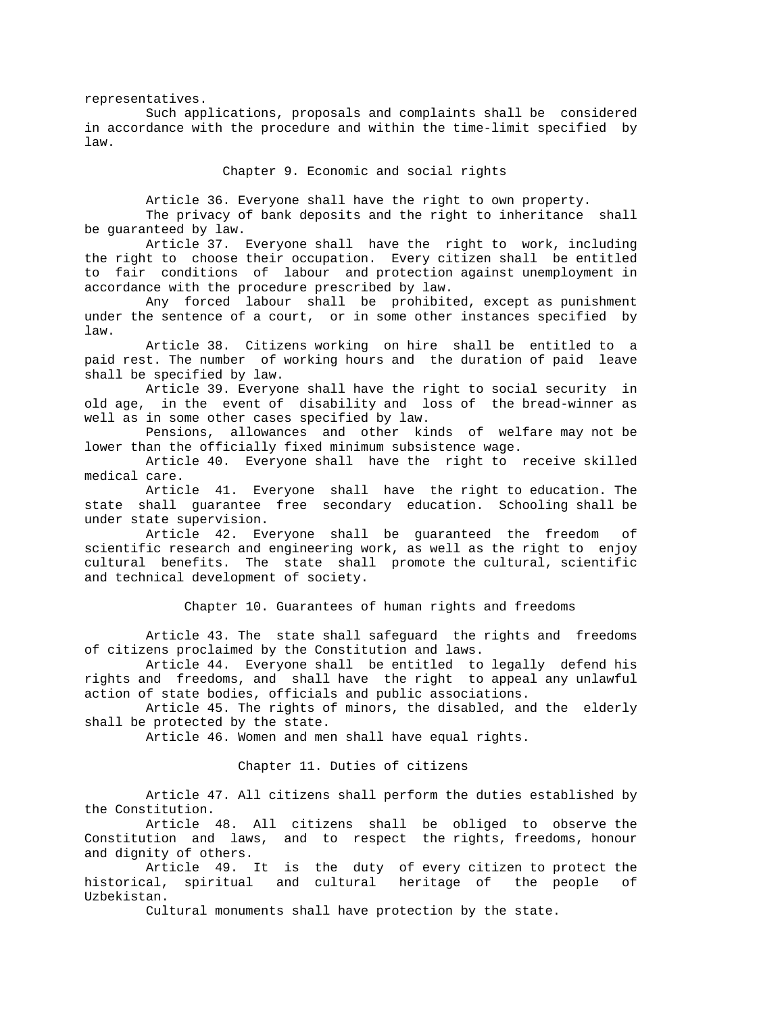representatives.

 Such applications, proposals and complaints shall be considered in accordance with the procedure and within the time-limit specified by law.

Chapter 9. Economic and social rights

Article 36. Everyone shall have the right to own property.

 The privacy of bank deposits and the right to inheritance shall be guaranteed by law.

 Article 37. Everyone shall have the right to work, including the right to choose their occupation. Every citizen shall be entitled to fair conditions of labour and protection against unemployment in accordance with the procedure prescribed by law.

 Any forced labour shall be prohibited, except as punishment under the sentence of a court, or in some other instances specified by law.

 Article 38. Citizens working on hire shall be entitled to a paid rest. The number of working hours and the duration of paid leave shall be specified by law.

 Article 39. Everyone shall have the right to social security in old age, in the event of disability and loss of the bread-winner as well as in some other cases specified by law.

 Pensions, allowances and other kinds of welfare may not be lower than the officially fixed minimum subsistence wage.

 Article 40. Everyone shall have the right to receive skilled medical care.

 Article 41. Everyone shall have the right to education. The state shall guarantee free secondary education. Schooling shall be under state supervision.

 Article 42. Everyone shall be guaranteed the freedom of scientific research and engineering work, as well as the right to enjoy cultural benefits. The state shall promote the cultural, scientific and technical development of society.

Chapter 10. Guarantees of human rights and freedoms

 Article 43. The state shall safeguard the rights and freedoms of citizens proclaimed by the Constitution and laws.

 Article 44. Everyone shall be entitled to legally defend his rights and freedoms, and shall have the right to appeal any unlawful action of state bodies, officials and public associations.

 Article 45. The rights of minors, the disabled, and the elderly shall be protected by the state.

Article 46. Women and men shall have equal rights.

Chapter 11. Duties of citizens

 Article 47. All citizens shall perform the duties established by the Constitution.

 Article 48. All citizens shall be obliged to observe the Constitution and laws, and to respect the rights, freedoms, honour and dignity of others.

 Article 49. It is the duty of every citizen to protect the historical, spiritual and cultural heritage of the people of Uzbekistan.

Cultural monuments shall have protection by the state.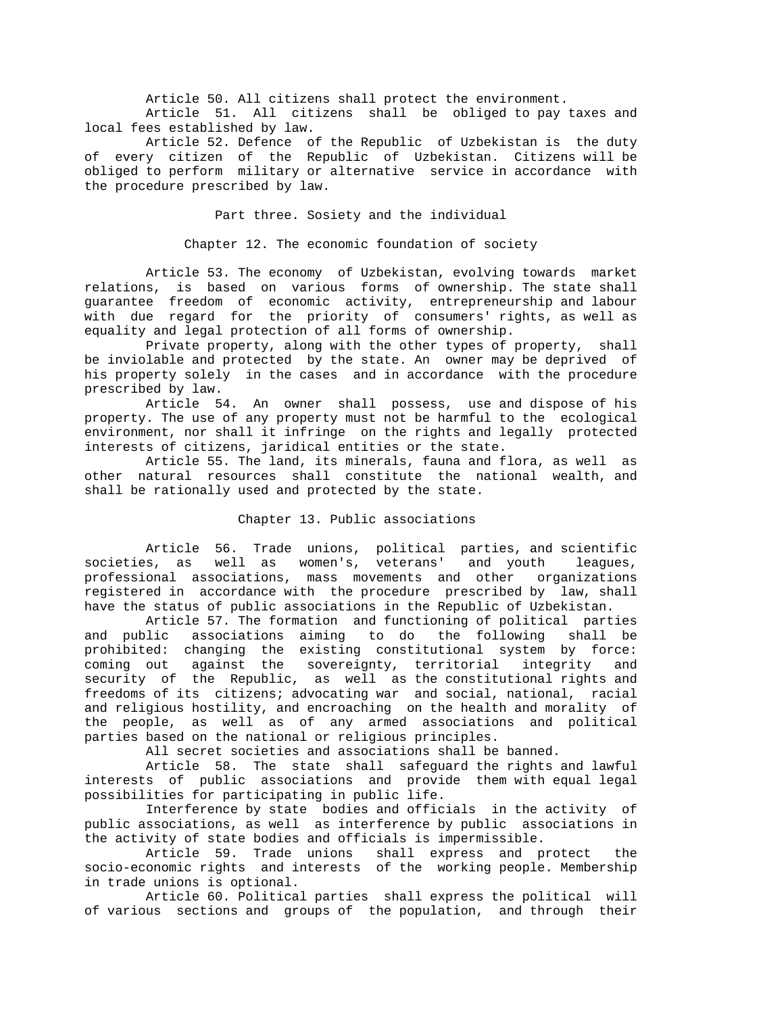Article 50. All citizens shall protect the environment.

 Article 51. All citizens shall be obliged to pay taxes and local fees established by law.

 Article 52. Defence of the Republic of Uzbekistan is the duty of every citizen of the Republic of Uzbekistan. Citizens will be obliged to perform military or alternative service in accordance with the procedure prescribed by law.

Part three. Sosiety and the individual

Chapter 12. The economic foundation of society

 Article 53. The economy of Uzbekistan, evolving towards market relations, is based on various forms of ownership. The state shall guarantee freedom of economic activity, entrepreneurship and labour with due regard for the priority of consumers' rights, as well as equality and legal protection of all forms of ownership.

 Private property, along with the other types of property, shall be inviolable and protected by the state. An owner may be deprived of his property solely in the cases and in accordance with the procedure prescribed by law.

 Article 54. An owner shall possess, use and dispose of his property. The use of any property must not be harmful to the ecological environment, nor shall it infringe on the rights and legally protected interests of citizens, jaridical entities or the state.

 Article 55. The land, its minerals, fauna and flora, as well as other natural resources shall constitute the national wealth, and shall be rationally used and protected by the state.

## Chapter 13. Public associations

 Article 56. Trade unions, political parties, and scientific societies, as well as women's, veterans' and youth leagues, professional associations, mass movements and other organizations registered in accordance with the procedure prescribed by law, shall have the status of public associations in the Republic of Uzbekistan.

 Article 57. The formation and functioning of political parties and public associations aiming to do the following shall be prohibited: changing the existing constitutional system by force: coming out against the sovereignty, territorial integrity and security of the Republic, as well as the constitutional rights and freedoms of its citizens; advocating war and social, national, racial and religious hostility, and encroaching on the health and morality of the people, as well as of any armed associations and political parties based on the national or religious principles.

All secret societies and associations shall be banned.

 Article 58. The state shall safeguard the rights and lawful interests of public associations and provide them with equal legal possibilities for participating in public life.

 Interference by state bodies and officials in the activity of public associations, as well as interference by public associations in the activity of state bodies and officials is impermissible.

 Article 59. Trade unions shall express and protect the socio-economic rights and interests of the working people. Membership in trade unions is optional.

 Article 60. Political parties shall express the political will of various sections and groups of the population, and through their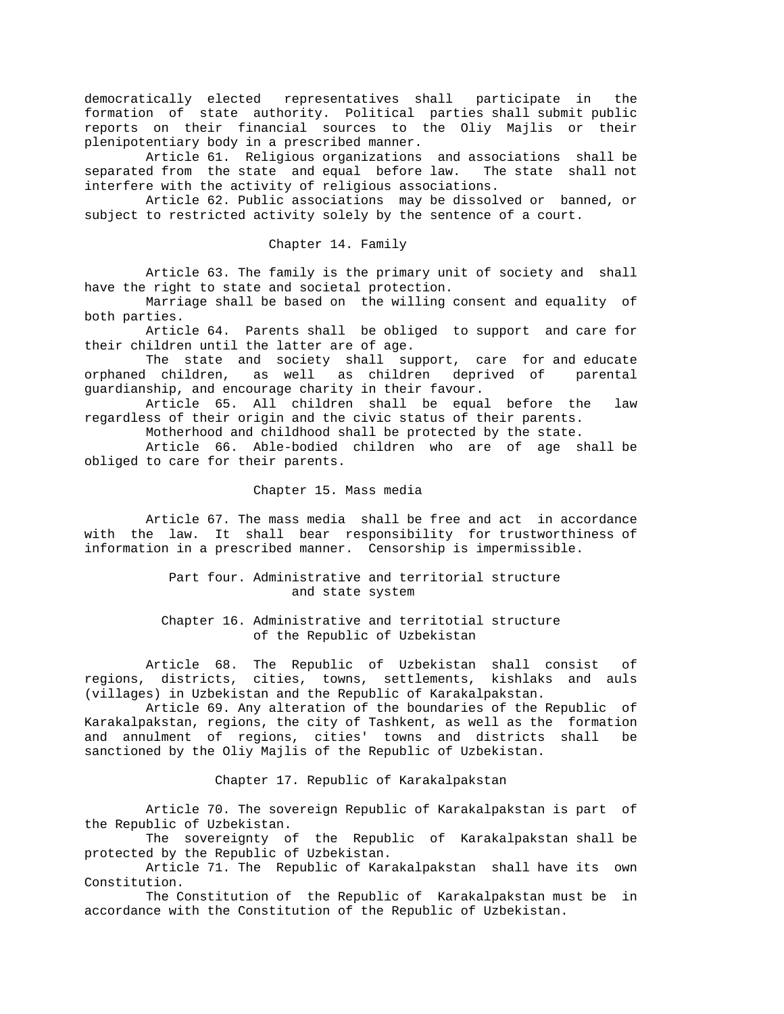democratically elected representatives shall participate in the formation of state authority. Political parties shall submit public reports on their financial sources to the Oliy Majlis or their plenipotentiary body in a prescribed manner.

 Article 61. Religious organizations and associations shall be separated from the state and equal before law. The state shall not interfere with the activity of religious associations.

 Article 62. Public associations may be dissolved or banned, or subject to restricted activity solely by the sentence of a court.

#### Chapter 14. Family

 Article 63. The family is the primary unit of society and shall have the right to state and societal protection.

 Marriage shall be based on the willing consent and equality of both parties.

 Article 64. Parents shall be obliged to support and care for their children until the latter are of age.

 The state and society shall support, care for and educate orphaned children, as well as children deprived of parental guardianship, and encourage charity in their favour.

 Article 65. All children shall be equal before the law regardless of their origin and the civic status of their parents.

Motherhood and childhood shall be protected by the state.

 Article 66. Able-bodied children who are of age shall be obliged to care for their parents.

#### Chapter 15. Mass media

 Article 67. The mass media shall be free and act in accordance with the law. It shall bear responsibility for trustworthiness of information in a prescribed manner. Censorship is impermissible.

## Part four. Administrative and territorial structure and state system

 Chapter 16. Administrative and territotial structure of the Republic of Uzbekistan

 Article 68. The Republic of Uzbekistan shall consist of regions, districts, cities, towns, settlements, kishlaks and auls (villages) in Uzbekistan and the Republic of Karakalpakstan.

 Article 69. Any alteration of the boundaries of the Republic of Karakalpakstan, regions, the city of Tashkent, as well as the formation and annulment of regions, cities' towns and districts shall be sanctioned by the Oliy Majlis of the Republic of Uzbekistan.

Chapter 17. Republic of Karakalpakstan

 Article 70. The sovereign Republic of Karakalpakstan is part of the Republic of Uzbekistan.

 The sovereignty of the Republic of Karakalpakstan shall be protected by the Republic of Uzbekistan.

 Article 71. The Republic of Karakalpakstan shall have its own Constitution.

 The Constitution of the Republic of Karakalpakstan must be in accordance with the Constitution of the Republic of Uzbekistan.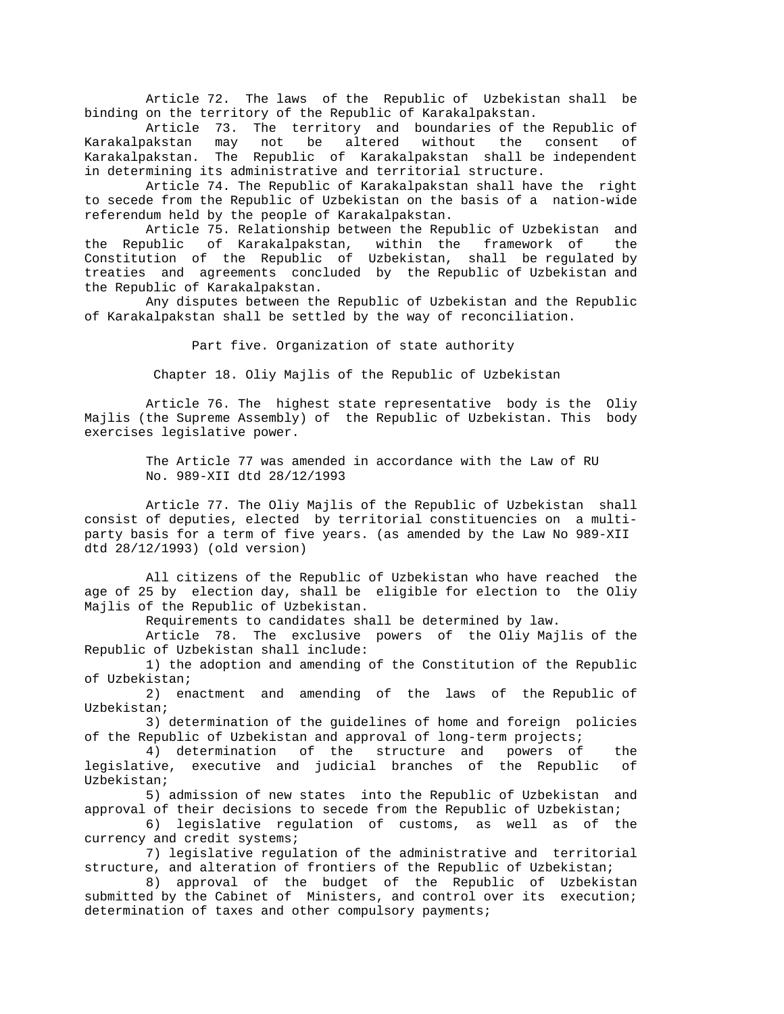Article 72. The laws of the Republic of Uzbekistan shall be binding on the territory of the Republic of Karakalpakstan.

 Article 73. The territory and boundaries of the Republic of Karakalpakstan may not be altered without the consent of Karakalpakstan. The Republic of Karakalpakstan shall be independent in determining its administrative and territorial structure.

 Article 74. The Republic of Karakalpakstan shall have the right to secede from the Republic of Uzbekistan on the basis of a nation-wide referendum held by the people of Karakalpakstan.

 Article 75. Relationship between the Republic of Uzbekistan and the Republic of Karakalpakstan, within the framework of the Constitution of the Republic of Uzbekistan, shall be regulated by treaties and agreements concluded by the Republic of Uzbekistan and the Republic of Karakalpakstan.

 Any disputes between the Republic of Uzbekistan and the Republic of Karakalpakstan shall be settled by the way of reconciliation.

Part five. Organization of state authority

Chapter 18. Oliy Majlis of the Republic of Uzbekistan

 Article 76. The highest state representative body is the Oliy Majlis (the Supreme Assembly) of the Republic of Uzbekistan. This body exercises legislative power.

> The Article 77 was amended in accordance with the Law of RU No. 989-XII dtd 28/12/1993

 Article 77. The Oliy Majlis of the Republic of Uzbekistan shall consist of deputies, elected by territorial constituencies on a multiparty basis for a term of five years. (as amended by the Law No 989-XII dtd 28/12/1993) (old version)

 All citizens of the Republic of Uzbekistan who have reached the age of 25 by election day, shall be eligible for election to the Oliy Majlis of the Republic of Uzbekistan.

Requirements to candidates shall be determined by law.

 Article 78. The exclusive powers of the Oliy Majlis of the Republic of Uzbekistan shall include:

 1) the adoption and amending of the Constitution of the Republic of Uzbekistan;

 2) enactment and amending of the laws of the Republic of Uzbekistan;

 3) determination of the guidelines of home and foreign policies of the Republic of Uzbekistan and approval of long-term projects;

 4) determination of the structure and powers of the legislative, executive and judicial branches of the Republic of Uzbekistan;

 5) admission of new states into the Republic of Uzbekistan and approval of their decisions to secede from the Republic of Uzbekistan;

 6) legislative regulation of customs, as well as of the currency and credit systems;

 7) legislative regulation of the administrative and territorial structure, and alteration of frontiers of the Republic of Uzbekistan;

 8) approval of the budget of the Republic of Uzbekistan submitted by the Cabinet of Ministers, and control over its execution; determination of taxes and other compulsory payments;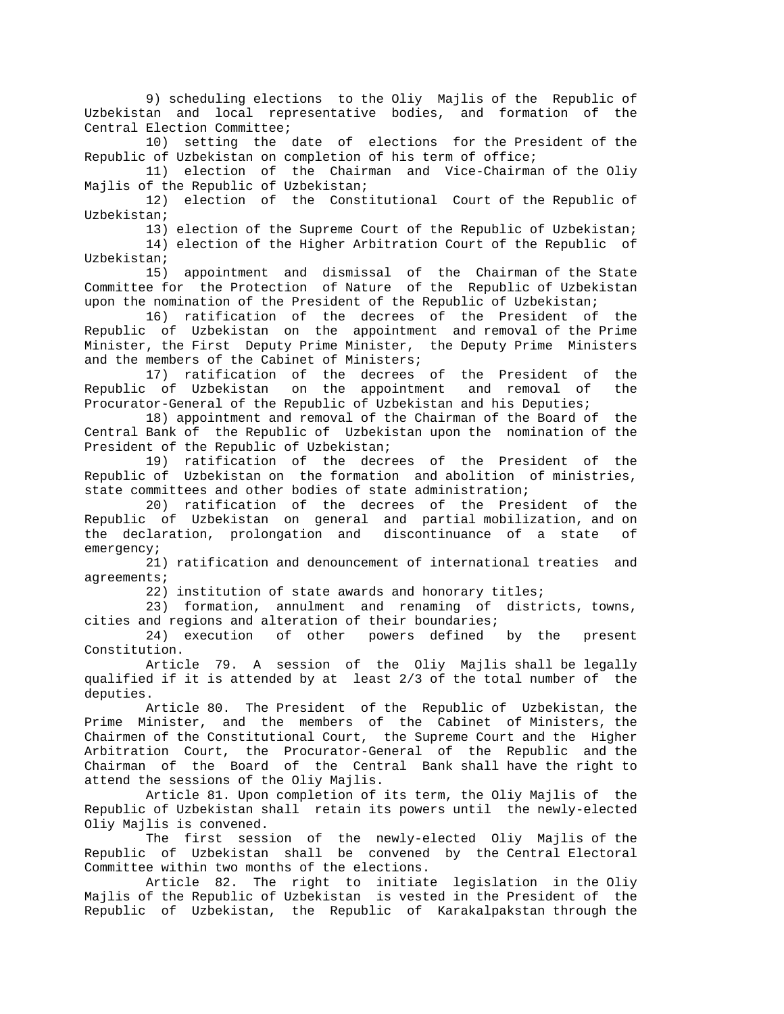9) scheduling elections to the Oliy Majlis of the Republic of Uzbekistan and local representative bodies, and formation of the Central Election Committee;

 10) setting the date of elections for the President of the Republic of Uzbekistan on completion of his term of office;

 11) election of the Chairman and Vice-Chairman of the Oliy Majlis of the Republic of Uzbekistan;

 12) election of the Constitutional Court of the Republic of Uzbekistan;

 13) election of the Supreme Court of the Republic of Uzbekistan; 14) election of the Higher Arbitration Court of the Republic of Uzbekistan;

 15) appointment and dismissal of the Chairman of the State Committee for the Protection of Nature of the Republic of Uzbekistan upon the nomination of the President of the Republic of Uzbekistan;

 16) ratification of the decrees of the President of the Republic of Uzbekistan on the appointment and removal of the Prime Minister, the First Deputy Prime Minister, the Deputy Prime Ministers and the members of the Cabinet of Ministers;

 17) ratification of the decrees of the President of the Republic of Uzbekistan on the appointment and removal of the Procurator-General of the Republic of Uzbekistan and his Deputies;

 18) appointment and removal of the Chairman of the Board of the Central Bank of the Republic of Uzbekistan upon the nomination of the President of the Republic of Uzbekistan;

 19) ratification of the decrees of the President of the Republic of Uzbekistan on the formation and abolition of ministries, state committees and other bodies of state administration;

 20) ratification of the decrees of the President of the Republic of Uzbekistan on general and partial mobilization, and on the declaration, prolongation and discontinuance of a state of emergency;

 21) ratification and denouncement of international treaties and agreements;

22) institution of state awards and honorary titles;

 23) formation, annulment and renaming of districts, towns, cities and regions and alteration of their boundaries;

 24) execution of other powers defined by the present Constitution.

 Article 79. A session of the Oliy Majlis shall be legally qualified if it is attended by at least 2/3 of the total number of the deputies.

 Article 80. The President of the Republic of Uzbekistan, the Prime Minister, and the members of the Cabinet of Ministers, the Chairmen of the Constitutional Court, the Supreme Court and the Higher Arbitration Court, the Procurator-General of the Republic and the Chairman of the Board of the Central Bank shall have the right to attend the sessions of the Oliy Majlis.

 Article 81. Upon completion of its term, the Oliy Majlis of the Republic of Uzbekistan shall retain its powers until the newly-elected Oliy Majlis is convened.

 The first session of the newly-elected Oliy Majlis of the Republic of Uzbekistan shall be convened by the Central Electoral Committee within two months of the elections.

 Article 82. The right to initiate legislation in the Oliy Majlis of the Republic of Uzbekistan is vested in the President of the Republic of Uzbekistan, the Republic of Karakalpakstan through the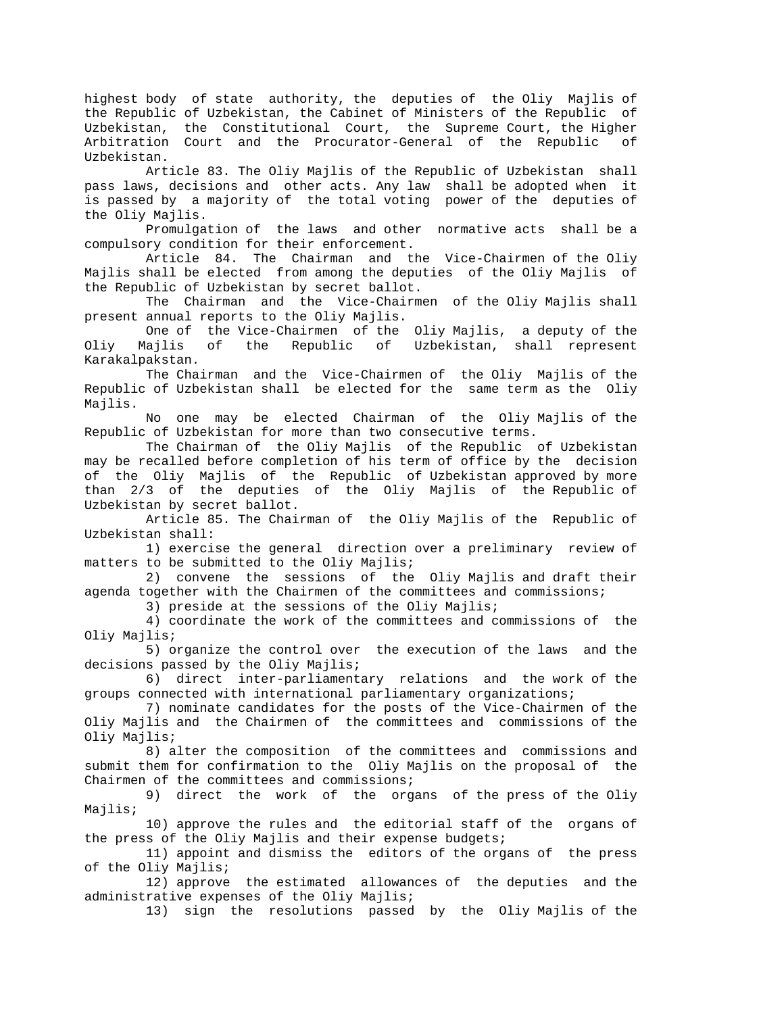highest body of state authority, the deputies of the Oliy Majlis of the Republic of Uzbekistan, the Cabinet of Ministers of the Republic of Uzbekistan, the Constitutional Court, the Supreme Court, the Higher Arbitration Court and the Procurator-General of the Republic of Uzbekistan.

 Article 83. The Oliy Majlis of the Republic of Uzbekistan shall pass laws, decisions and other acts. Any law shall be adopted when it is passed by a majority of the total voting power of the deputies of the Oliy Majlis.

 Promulgation of the laws and other normative acts shall be a compulsory condition for their enforcement.

 Article 84. The Chairman and the Vice-Chairmen of the Oliy Majlis shall be elected from among the deputies of the Oliy Majlis of the Republic of Uzbekistan by secret ballot.

 The Chairman and the Vice-Chairmen of the Oliy Majlis shall present annual reports to the Oliy Majlis.

One of the Vice-Chairmen of the Oliy Majlis, a deputy of the<br>Oliy Majlis of the Republic of Uzbekistan, shall represent Majlis of the Republic of Uzbekistan, shall represent Karakalpakstan.

 The Chairman and the Vice-Chairmen of the Oliy Majlis of the Republic of Uzbekistan shall be elected for the same term as the Oliy Majlis.

 No one may be elected Chairman of the Oliy Majlis of the Republic of Uzbekistan for more than two consecutive terms.

 The Chairman of the Oliy Majlis of the Republic of Uzbekistan may be recalled before completion of his term of office by the decision of the Oliy Majlis of the Republic of Uzbekistan approved by more than 2/3 of the deputies of the Oliy Majlis of the Republic of Uzbekistan by secret ballot.

 Article 85. The Chairman of the Oliy Majlis of the Republic of Uzbekistan shall:

 1) exercise the general direction over a preliminary review of matters to be submitted to the Oliy Majlis;

 2) convene the sessions of the Oliy Majlis and draft their agenda together with the Chairmen of the committees and commissions;

3) preside at the sessions of the Oliy Majlis;

 4) coordinate the work of the committees and commissions of the Oliy Majlis;

 5) organize the control over the execution of the laws and the decisions passed by the Oliy Majlis;

 6) direct inter-parliamentary relations and the work of the groups connected with international parliamentary organizations;

 7) nominate candidates for the posts of the Vice-Chairmen of the Oliy Majlis and the Chairmen of the committees and commissions of the Oliy Majlis;

 8) alter the composition of the committees and commissions and submit them for confirmation to the Oliy Majlis on the proposal of the Chairmen of the committees and commissions;

 9) direct the work of the organs of the press of the Oliy Majlis;

 10) approve the rules and the editorial staff of the organs of the press of the Oliy Majlis and their expense budgets;

 11) appoint and dismiss the editors of the organs of the press of the Oliy Majlis;

 12) approve the estimated allowances of the deputies and the administrative expenses of the Oliy Majlis;

13) sign the resolutions passed by the Oliy Majlis of the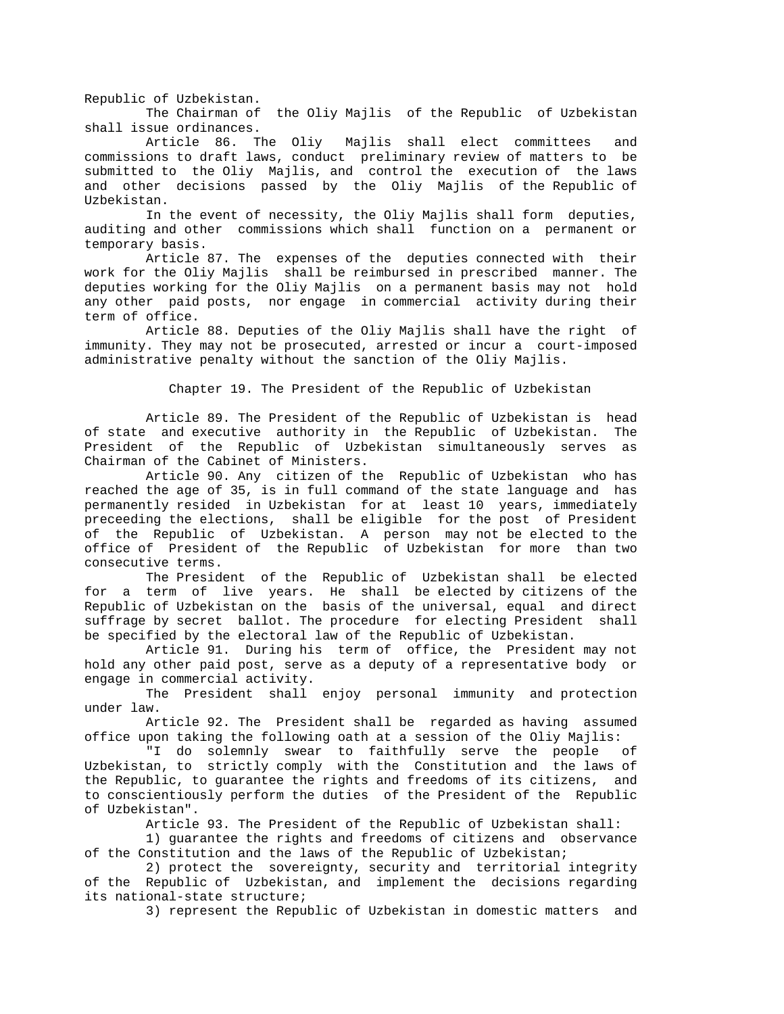Republic of Uzbekistan. The Chairman of the Oliy Majlis of the Republic of Uzbekistan shall issue ordinances.

 Article 86. The Oliy Majlis shall elect committees and commissions to draft laws, conduct preliminary review of matters to be submitted to the Oliy Majlis, and control the execution of the laws and other decisions passed by the Oliy Majlis of the Republic of Uzbekistan.

 In the event of necessity, the Oliy Majlis shall form deputies, auditing and other commissions which shall function on a permanent or temporary basis.

 Article 87. The expenses of the deputies connected with their work for the Oliy Majlis shall be reimbursed in prescribed manner. The deputies working for the Oliy Majlis on a permanent basis may not hold any other paid posts, nor engage in commercial activity during their term of office.

 Article 88. Deputies of the Oliy Majlis shall have the right of immunity. They may not be prosecuted, arrested or incur a court-imposed administrative penalty without the sanction of the Oliy Majlis.

Chapter 19. The President of the Republic of Uzbekistan

 Article 89. The President of the Republic of Uzbekistan is head of state and executive authority in the Republic of Uzbekistan. The President of the Republic of Uzbekistan simultaneously serves as Chairman of the Cabinet of Ministers.

 Article 90. Any citizen of the Republic of Uzbekistan who has reached the age of 35, is in full command of the state language and has permanently resided in Uzbekistan for at least 10 years, immediately preceeding the elections, shall be eligible for the post of President of the Republic of Uzbekistan. A person may not be elected to the office of President of the Republic of Uzbekistan for more than two consecutive terms.

 The President of the Republic of Uzbekistan shall be elected for a term of live years. He shall be elected by citizens of the Republic of Uzbekistan on the basis of the universal, equal and direct suffrage by secret ballot. The procedure for electing President shall be specified by the electoral law of the Republic of Uzbekistan.

 Article 91. During his term of office, the President may not hold any other paid post, serve as a deputy of a representative body or engage in commercial activity.

 The President shall enjoy personal immunity and protection under law.

 Article 92. The President shall be regarded as having assumed office upon taking the following oath at a session of the Oliy Majlis:

 "I do solemnly swear to faithfully serve the people of Uzbekistan, to strictly comply with the Constitution and the laws of the Republic, to guarantee the rights and freedoms of its citizens, and to conscientiously perform the duties of the President of the Republic of Uzbekistan".

Article 93. The President of the Republic of Uzbekistan shall:

 1) guarantee the rights and freedoms of citizens and observance of the Constitution and the laws of the Republic of Uzbekistan;

 2) protect the sovereignty, security and territorial integrity of the Republic of Uzbekistan, and implement the decisions regarding its national-state structure;

3) represent the Republic of Uzbekistan in domestic matters and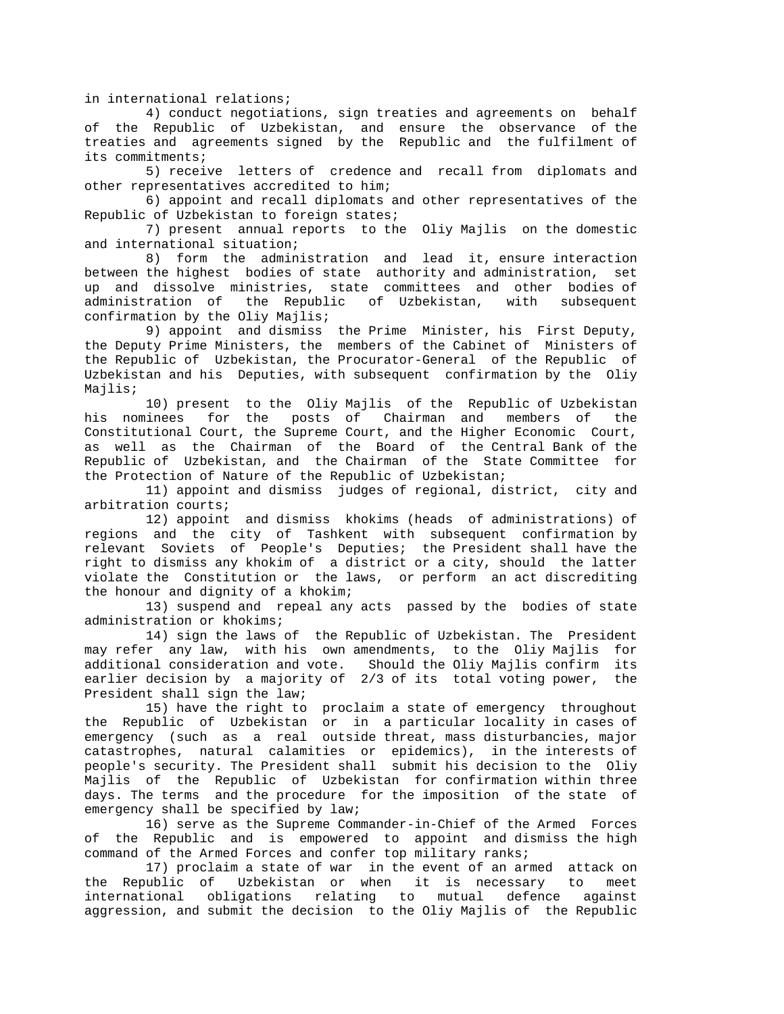in international relations;

 4) conduct negotiations, sign treaties and agreements on behalf of the Republic of Uzbekistan, and ensure the observance of the treaties and agreements signed by the Republic and the fulfilment of its commitments;

 5) receive letters of credence and recall from diplomats and other representatives accredited to him;

 6) appoint and recall diplomats and other representatives of the Republic of Uzbekistan to foreign states;

 7) present annual reports to the Oliy Majlis on the domestic and international situation;

 8) form the administration and lead it, ensure interaction between the highest bodies of state authority and administration, set up and dissolve ministries, state committees and other bodies of administration of the Republic of Uzbekistan, with subsequent confirmation by the Oliy Majlis;

 9) appoint and dismiss the Prime Minister, his First Deputy, the Deputy Prime Ministers, the members of the Cabinet of Ministers of the Republic of Uzbekistan, the Procurator-General of the Republic of Uzbekistan and his Deputies, with subsequent confirmation by the Oliy Majlis;

 10) present to the Oliy Majlis of the Republic of Uzbekistan his nominees for the posts of Chairman and members of the Constitutional Court, the Supreme Court, and the Higher Economic Court, as well as the Chairman of the Board of the Central Bank of the Republic of Uzbekistan, and the Chairman of the State Committee for the Protection of Nature of the Republic of Uzbekistan;

 11) appoint and dismiss judges of regional, district, city and arbitration courts;

 12) appoint and dismiss khokims (heads of administrations) of regions and the city of Tashkent with subsequent confirmation by relevant Soviets of People's Deputies; the President shall have the right to dismiss any khokim of a district or a city, should the latter violate the Constitution or the laws, or perform an act discrediting the honour and dignity of a khokim;

 13) suspend and repeal any acts passed by the bodies of state administration or khokims;

 14) sign the laws of the Republic of Uzbekistan. The President may refer any law, with his own amendments, to the Oliy Majlis for additional consideration and vote. Should the Oliy Majlis confirm its earlier decision by a majority of 2/3 of its total voting power, the President shall sign the law;

 15) have the right to proclaim a state of emergency throughout the Republic of Uzbekistan or in a particular locality in cases of emergency (such as a real outside threat, mass disturbancies, major catastrophes, natural calamities or epidemics), in the interests of people's security. The President shall submit his decision to the Oliy Majlis of the Republic of Uzbekistan for confirmation within three days. The terms and the procedure for the imposition of the state of emergency shall be specified by law;

 16) serve as the Supreme Commander-in-Chief of the Armed Forces of the Republic and is empowered to appoint and dismiss the high command of the Armed Forces and confer top military ranks;

 17) proclaim a state of war in the event of an armed attack on the Republic of Uzbekistan or when it is necessary to meet international obligations relating to mutual defence against aggression, and submit the decision to the Oliy Majlis of the Republic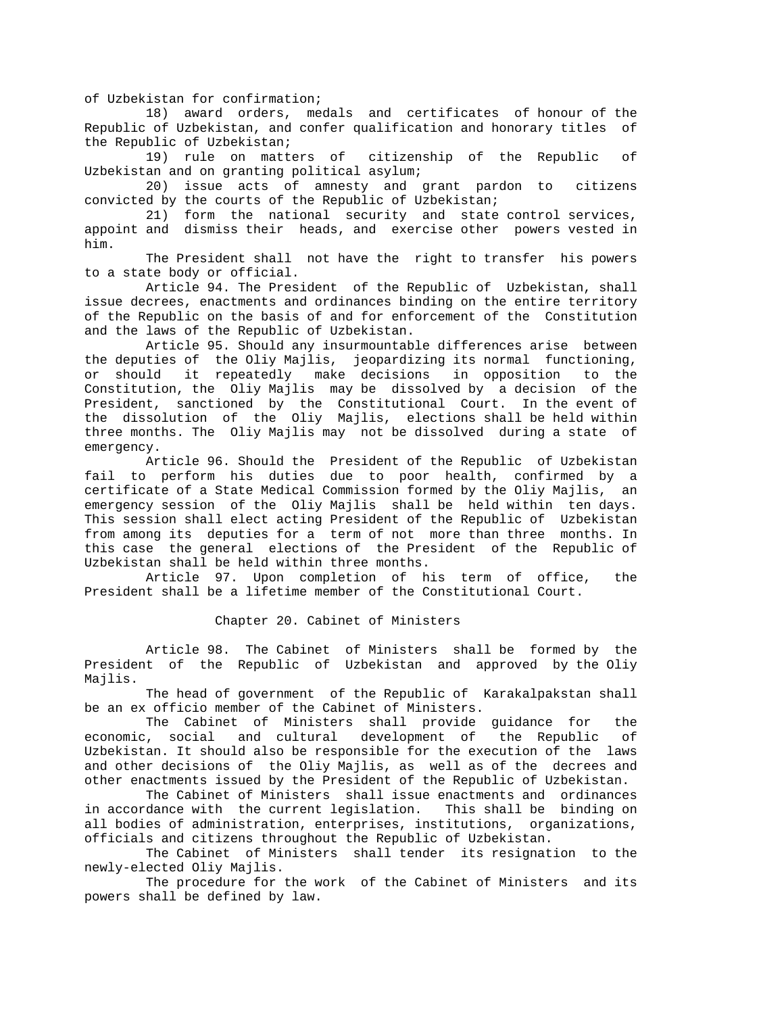of Uzbekistan for confirmation;

 18) award orders, medals and certificates of honour of the Republic of Uzbekistan, and confer qualification and honorary titles of the Republic of Uzbekistan;

 19) rule on matters of citizenship of the Republic of Uzbekistan and on granting political asylum;

 20) issue acts of amnesty and grant pardon to citizens convicted by the courts of the Republic of Uzbekistan;

 21) form the national security and state control services, appoint and dismiss their heads, and exercise other powers vested in him.

 The President shall not have the right to transfer his powers to a state body or official.

 Article 94. The President of the Republic of Uzbekistan, shall issue decrees, enactments and ordinances binding on the entire territory of the Republic on the basis of and for enforcement of the Constitution and the laws of the Republic of Uzbekistan.

 Article 95. Should any insurmountable differences arise between the deputies of the Oliy Majlis, jeopardizing its normal functioning, or should it repeatedly make decisions in opposition to the Constitution, the Oliy Majlis may be dissolved by a decision of the President, sanctioned by the Constitutional Court. In the event of the dissolution of the Oliy Majlis, elections shall be held within three months. The Oliy Majlis may not be dissolved during a state of emergency.

 Article 96. Should the President of the Republic of Uzbekistan fail to perform his duties due to poor health, confirmed by a certificate of a State Medical Commission formed by the Oliy Majlis, an emergency session of the Oliy Majlis shall be held within ten days. This session shall elect acting President of the Republic of Uzbekistan from among its deputies for a term of not more than three months. In this case the general elections of the President of the Republic of Uzbekistan shall be held within three months.

 Article 97. Upon completion of his term of office, the President shall be a lifetime member of the Constitutional Court.

### Chapter 20. Cabinet of Ministers

 Article 98. The Cabinet of Ministers shall be formed by the President of the Republic of Uzbekistan and approved by the Oliy Majlis.

 The head of government of the Republic of Karakalpakstan shall be an ex officio member of the Cabinet of Ministers.

 The Cabinet of Ministers shall provide guidance for the economic, social and cultural development of the Republic of Uzbekistan. It should also be responsible for the execution of the laws and other decisions of the Oliy Majlis, as well as of the decrees and other enactments issued by the President of the Republic of Uzbekistan.

 The Cabinet of Ministers shall issue enactments and ordinances in accordance with the current legislation. This shall be binding on all bodies of administration, enterprises, institutions, organizations, officials and citizens throughout the Republic of Uzbekistan.

 The Cabinet of Ministers shall tender its resignation to the newly-elected Oliy Majlis.

 The procedure for the work of the Cabinet of Ministers and its powers shall be defined by law.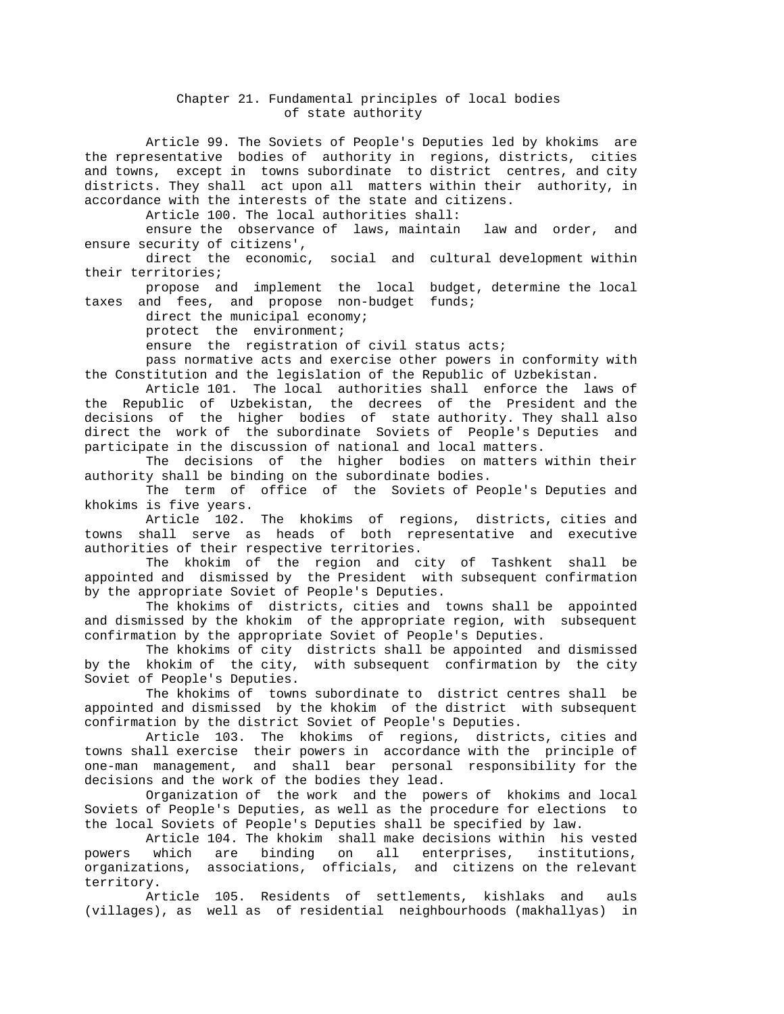## Chapter 21. Fundamental principles of local bodies of state authority

 Article 99. The Soviets of People's Deputies led by khokims are the representative bodies of authority in regions, districts, cities and towns, except in towns subordinate to district centres, and city districts. They shall act upon all matters within their authority, in accordance with the interests of the state and citizens.

Article 100. The local authorities shall:

 ensure the observance of laws, maintain law and order, and ensure security of citizens',

 direct the economic, social and cultural development within their territories;

 propose and implement the local budget, determine the local taxes and fees, and propose non-budget funds;

direct the municipal economy;

protect the environment;

ensure the registration of civil status acts;

 pass normative acts and exercise other powers in conformity with the Constitution and the legislation of the Republic of Uzbekistan.

 Article 101. The local authorities shall enforce the laws of the Republic of Uzbekistan, the decrees of the President and the decisions of the higher bodies of state authority. They shall also direct the work of the subordinate Soviets of People's Deputies and participate in the discussion of national and local matters.

 The decisions of the higher bodies on matters within their authority shall be binding on the subordinate bodies.

 The term of office of the Soviets of People's Deputies and khokims is five years.

 Article 102. The khokims of regions, districts, cities and towns shall serve as heads of both representative and executive authorities of their respective territories.

 The khokim of the region and city of Tashkent shall be appointed and dismissed by the President with subsequent confirmation by the appropriate Soviet of People's Deputies.

 The khokims of districts, cities and towns shall be appointed and dismissed by the khokim of the appropriate region, with subsequent confirmation by the appropriate Soviet of People's Deputies.

 The khokims of city districts shall be appointed and dismissed by the khokim of the city, with subsequent confirmation by the city Soviet of People's Deputies.

 The khokims of towns subordinate to district centres shall be appointed and dismissed by the khokim of the district with subsequent confirmation by the district Soviet of People's Deputies.

 Article 103. The khokims of regions, districts, cities and towns shall exercise their powers in accordance with the principle of one-man management, and shall bear personal responsibility for the decisions and the work of the bodies they lead.

 Organization of the work and the powers of khokims and local Soviets of People's Deputies, as well as the procedure for elections to the local Soviets of People's Deputies shall be specified by law.

 Article 104. The khokim shall make decisions within his vested powers which are binding on all enterprises, institutions, organizations, associations, officials, and citizens on the relevant territory.

 Article 105. Residents of settlements, kishlaks and auls (villages), as well as of residential neighbourhoods (makhallyas) in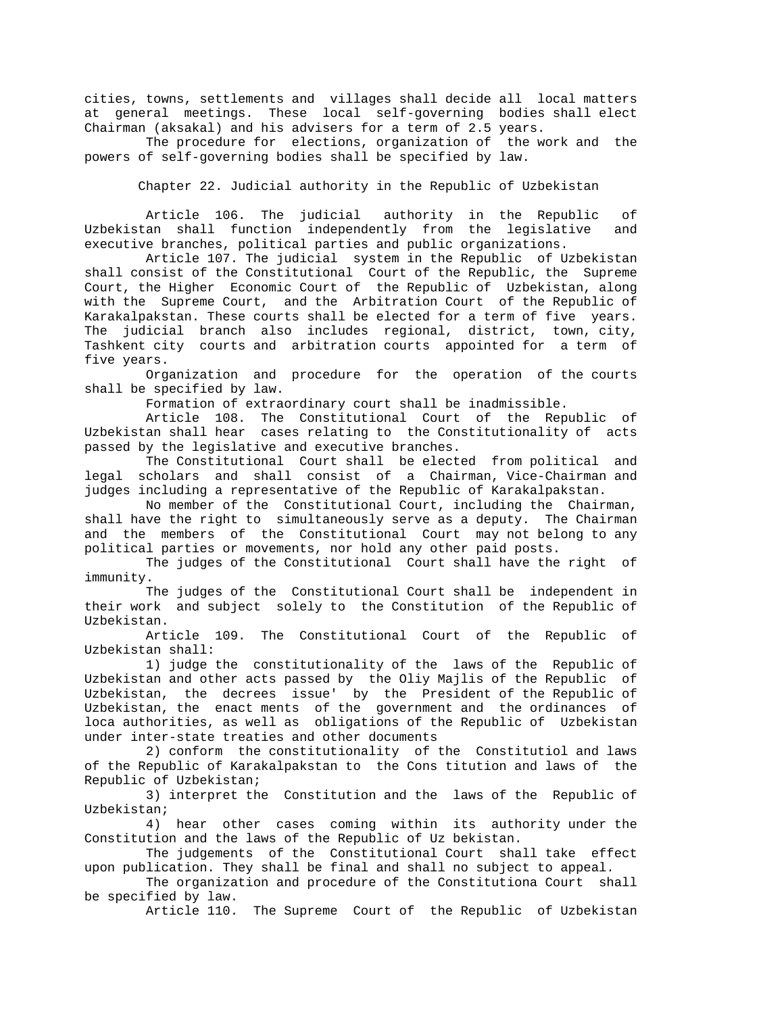cities, towns, settlements and villages shall decide all local matters at general meetings. These local self-governing bodies shall elect Chairman (aksakal) and his advisers for a term of 2.5 years.

 The procedure for elections, organization of the work and the powers of self-governing bodies shall be specified by law.

Chapter 22. Judicial authority in the Republic of Uzbekistan

 Article 106. The judicial authority in the Republic of Uzbekistan shall function independently from the legislative and executive branches, political parties and public organizations.

 Article 107. The judicial system in the Republic of Uzbekistan shall consist of the Constitutional Court of the Republic, the Supreme Court, the Higher Economic Court of the Republic of Uzbekistan, along with the Supreme Court, and the Arbitration Court of the Republic of Karakalpakstan. These courts shall be elected for a term of five years. The judicial branch also includes regional, district, town, city, Tashkent city courts and arbitration courts appointed for a term of five years.

 Organization and procedure for the operation of the courts shall be specified by law.

Formation of extraordinary court shall be inadmissible.

 Article 108. The Constitutional Court of the Republic of Uzbekistan shall hear cases relating to the Constitutionality of acts passed by the legislative and executive branches.

 The Constitutional Court shall be elected from political and legal scholars and shall consist of a Chairman, Vice-Chairman and judges including a representative of the Republic of Karakalpakstan.

 No member of the Constitutional Court, including the Chairman, shall have the right to simultaneously serve as a deputy. The Chairman and the members of the Constitutional Court may not belong to any political parties or movements, nor hold any other paid posts.

 The judges of the Constitutional Court shall have the right of immunity.

 The judges of the Constitutional Court shall be independent in their work and subject solely to the Constitution of the Republic of Uzbekistan.

 Article 109. The Constitutional Court of the Republic of Uzbekistan shall:

 1) judge the constitutionality of the laws of the Republic of Uzbekistan and other acts passed by the Oliy Majlis of the Republic of Uzbekistan, the decrees issue' by the President of the Republic of Uzbekistan, the enact ments of the government and the ordinances of loca authorities, as well as obligations of the Republic of Uzbekistan under inter-state treaties and other documents

 2) conform the constitutionality of the Constitutiol and laws of the Republic of Karakalpakstan to the Cons titution and laws of the Republic of Uzbekistan;

 3) interpret the Constitution and the laws of the Republic of Uzbekistan;

 4) hear other cases coming within its authority under the Constitution and the laws of the Republic of Uz bekistan.

 The judgements of the Constitutional Court shall take effect upon publication. They shall be final and shall no subject to appeal.

 The organization and procedure of the Constitutiona Court shall be specified by law.

Article 110. The Supreme Court of the Republic of Uzbekistan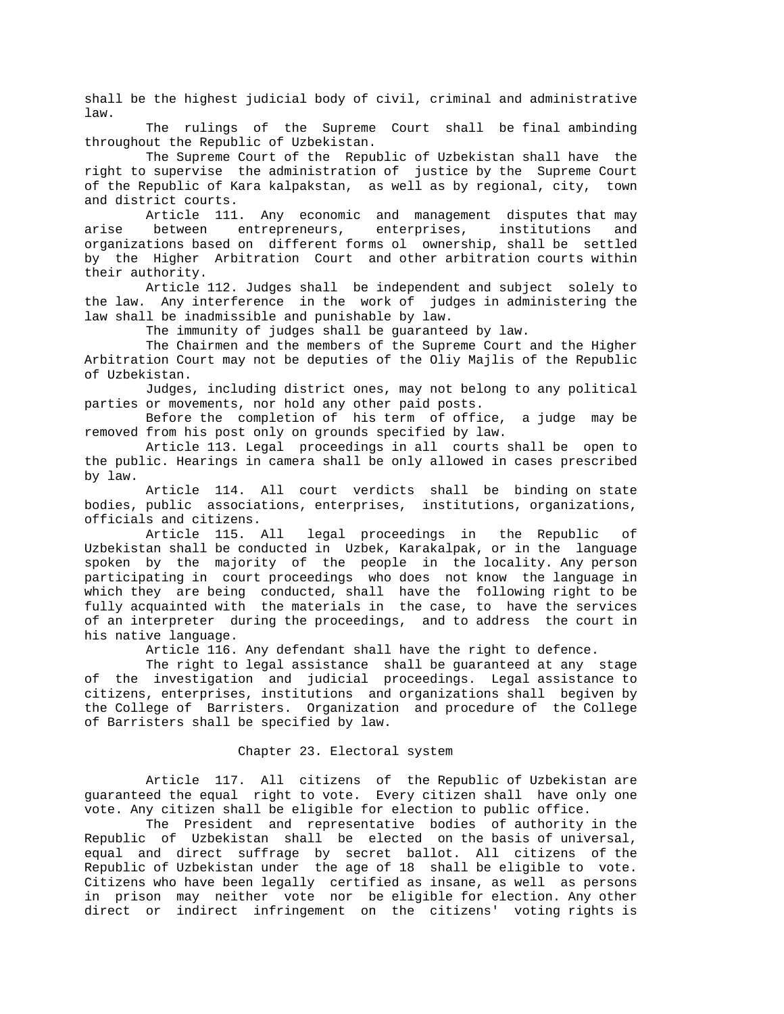shall be the highest judicial body of civil, criminal and administrative law.

 The rulings of the Supreme Court shall be final ambinding throughout the Republic of Uzbekistan.

 The Supreme Court of the Republic of Uzbekistan shall have the right to supervise the administration of justice by the Supreme Court of the Republic of Kara kalpakstan, as well as by regional, city, town and district courts.

 Article 111. Any economic and management disputes that may arise between entrepreneurs, enterprises, institutions and organizations based on different forms ol ownership, shall be settled by the Higher Arbitration Court and other arbitration courts within their authority.

 Article 112. Judges shall be independent and subject solely to the law. Any interference in the work of judges in administering the law shall be inadmissible and punishable by law.

The immunity of judges shall be guaranteed by law.

 The Chairmen and the members of the Supreme Court and the Higher Arbitration Court may not be deputies of the Oliy Majlis of the Republic of Uzbekistan.

 Judges, including district ones, may not belong to any political parties or movements, nor hold any other paid posts.

 Before the completion of his term of office, a judge may be removed from his post only on grounds specified by law.

 Article 113. Legal proceedings in all courts shall be open to the public. Hearings in camera shall be only allowed in cases prescribed by law.

 Article 114. All court verdicts shall be binding on state bodies, public associations, enterprises, institutions, organizations, officials and citizens.

 Article 115. All legal proceedings in the Republic of Uzbekistan shall be conducted in Uzbek, Karakalpak, or in the language spoken by the majority of the people in the locality. Any person participating in court proceedings who does not know the language in which they are being conducted, shall have the following right to be fully acquainted with the materials in the case, to have the services of an interpreter during the proceedings, and to address the court in his native language.

Article 116. Any defendant shall have the right to defence.

 The right to legal assistance shall be guaranteed at any stage of the investigation and judicial proceedings. Legal assistance to citizens, enterprises, institutions and organizations shall begiven by the College of Barristers. Organization and procedure of the College of Barristers shall be specified by law.

#### Chapter 23. Electoral system

 Article 117. All citizens of the Republic of Uzbekistan are guaranteed the equal right to vote. Every citizen shall have only one vote. Any citizen shall be eligible for election to public office.

 The President and representative bodies of authority in the Republic of Uzbekistan shall be elected on the basis of universal, equal and direct suffrage by secret ballot. All citizens of the Republic of Uzbekistan under the age of 18 shall be eligible to vote. Citizens who have been legally certified as insane, as well as persons in prison may neither vote nor be eligible for election. Any other direct or indirect infringement on the citizens' voting rights is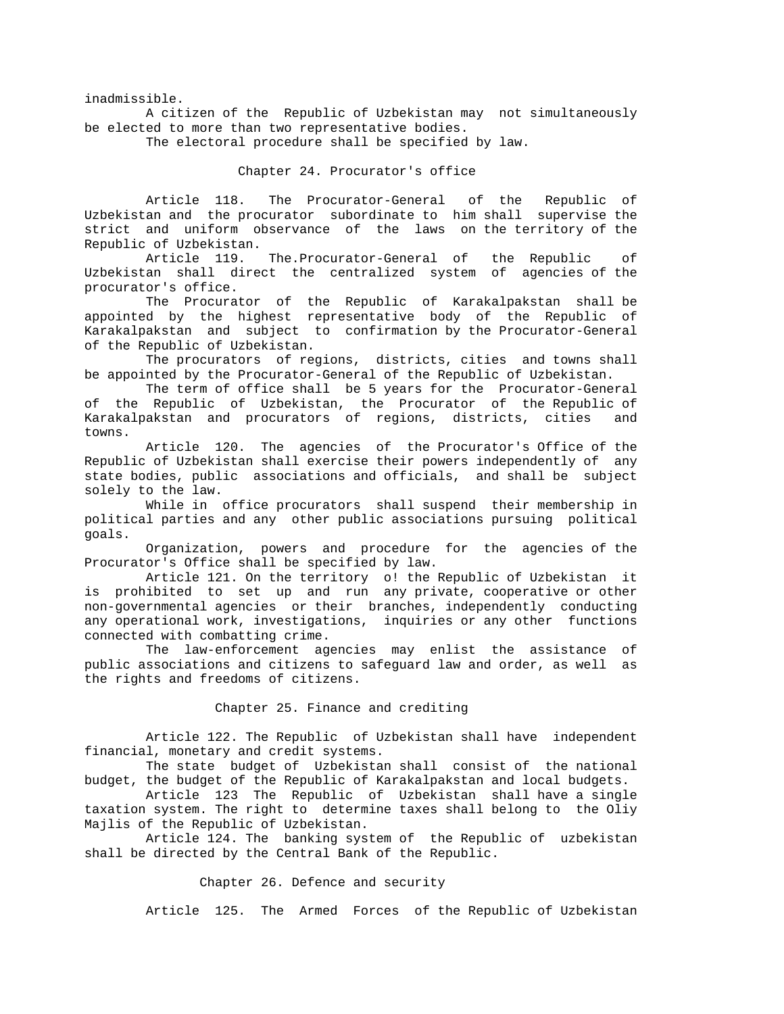inadmissible.

 A citizen of the Republic of Uzbekistan may not simultaneously be elected to more than two representative bodies.

The electoral procedure shall be specified by law.

#### Chapter 24. Procurator's office

 Article 118. The Procurator-General of the Republic of Uzbekistan and the procurator subordinate to him shall supervise the strict and uniform observance of the laws on the territory of the Republic of Uzbekistan.

 Article 119. The.Procurator-General of the Republic of Uzbekistan shall direct the centralized system of agencies of the procurator's office.

 The Procurator of the Republic of Karakalpakstan shall be appointed by the highest representative body of the Republic of Karakalpakstan and subject to confirmation by the Procurator-General of the Republic of Uzbekistan.

 The procurators of regions, districts, cities and towns shall be appointed by the Procurator-General of the Republic of Uzbekistan.

 The term of office shall be 5 years for the Procurator-General of the Republic of Uzbekistan, the Procurator of the Republic of Karakalpakstan and procurators of regions, districts, cities and towns.

 Article 120. The agencies of the Procurator's Office of the Republic of Uzbekistan shall exercise their powers independently of any state bodies, public associations and officials, and shall be subject solely to the law.

 While in office procurators shall suspend their membership in political parties and any other public associations pursuing political goals.

 Organization, powers and procedure for the agencies of the Procurator's Office shall be specified by law.

 Article 121. On the territory o! the Republic of Uzbekistan it is prohibited to set up and run any private, cooperative or other non-governmental agencies or their branches, independently conducting any operational work, investigations, inquiries or any other functions connected with combatting crime.

 The law-enforcement agencies may enlist the assistance of public associations and citizens to safeguard law and order, as well as the rights and freedoms of citizens.

#### Chapter 25. Finance and crediting

 Article 122. The Republic of Uzbekistan shall have independent financial, monetary and credit systems.

 The state budget of Uzbekistan shall consist of the national budget, the budget of the Republic of Karakalpakstan and local budgets.

 Article 123 The Republic of Uzbekistan shall have a single taxation system. The right to determine taxes shall belong to the Oliy Majlis of the Republic of Uzbekistan.

 Article 124. The banking system of the Republic of uzbekistan shall be directed by the Central Bank of the Republic.

## Chapter 26. Defence and security

Article 125. The Armed Forces of the Republic of Uzbekistan